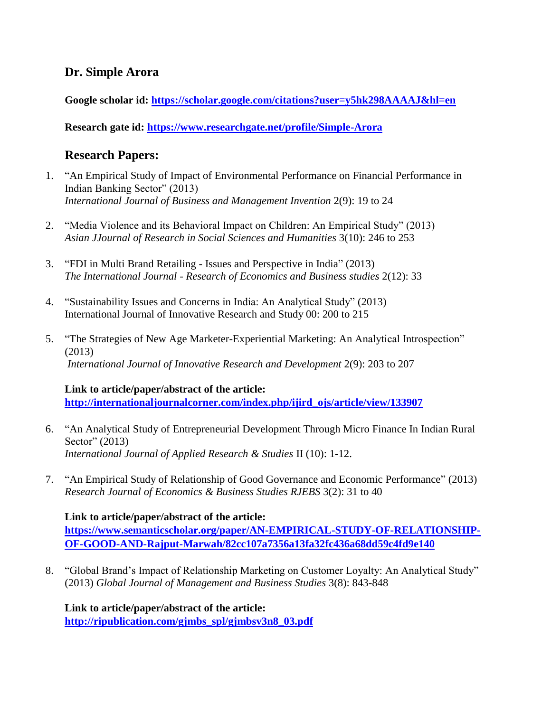## **Dr. Simple Arora**

**Google scholar id:<https://scholar.google.com/citations?user=y5hk298AAAAJ&hl=en>**

**Research gate id:<https://www.researchgate.net/profile/Simple-Arora>**

# **Research Papers:**

- 1. "An Empirical Study of Impact of Environmental Performance on Financial Performance in Indian Banking Sector" (2013) *International Journal of Business and Management Invention* 2(9): 19 to 24
- 2. "Media Violence and its Behavioral Impact on Children: An Empirical Study" (2013) *Asian JJournal of Research in Social Sciences and Humanities* 3(10): 246 to 253
- 3. "FDI in Multi Brand Retailing Issues and Perspective in India" (2013) *The International Journal - Research of Economics and Business studies* 2(12): 33
- 4. "Sustainability Issues and Concerns in India: An Analytical Study" (2013) International Journal of Innovative Research and Study 00: 200 to 215
- 5. "The Strategies of New Age Marketer-Experiential Marketing: An Analytical Introspection" (2013) *International Journal of Innovative Research and Development* 2(9): 203 to 207

#### **Link to article/paper/abstract of the article:**

**[http://internationaljournalcorner.com/index.php/ijird\\_ojs/article/view/133907](http://internationaljournalcorner.com/index.php/ijird_ojs/article/view/133907)**

- 6. "An Analytical Study of Entrepreneurial Development Through Micro Finance In Indian Rural Sector" (2013) *International Journal of Applied Research & Studies* II (10): 1-12.
- 7. "An Empirical Study of Relationship of Good Governance and Economic Performance" (2013) *Research Journal of Economics & Business Studies RJEBS* 3(2): 31 to 40

**Link to article/paper/abstract of the article: [https://www.semanticscholar.org/paper/AN-EMPIRICAL-STUDY-OF-RELATIONSHIP-](https://www.semanticscholar.org/paper/AN-EMPIRICAL-STUDY-OF-RELATIONSHIP-OF-GOOD-AND-Rajput-Marwah/82cc107a7356a13fa32fc436a68dd59c4fd9e140)[OF-GOOD-AND-Rajput-Marwah/82cc107a7356a13fa32fc436a68dd59c4fd9e140](https://www.semanticscholar.org/paper/AN-EMPIRICAL-STUDY-OF-RELATIONSHIP-OF-GOOD-AND-Rajput-Marwah/82cc107a7356a13fa32fc436a68dd59c4fd9e140)**

8. "Global Brand's Impact of Relationship Marketing on Customer Loyalty: An Analytical Study" (2013) *Global Journal of Management and Business Studies* 3(8): 843-848

**Link to article/paper/abstract of the article: [http://ripublication.com/gjmbs\\_spl/gjmbsv3n8\\_03.pdf](http://ripublication.com/gjmbs_spl/gjmbsv3n8_03.pdf)**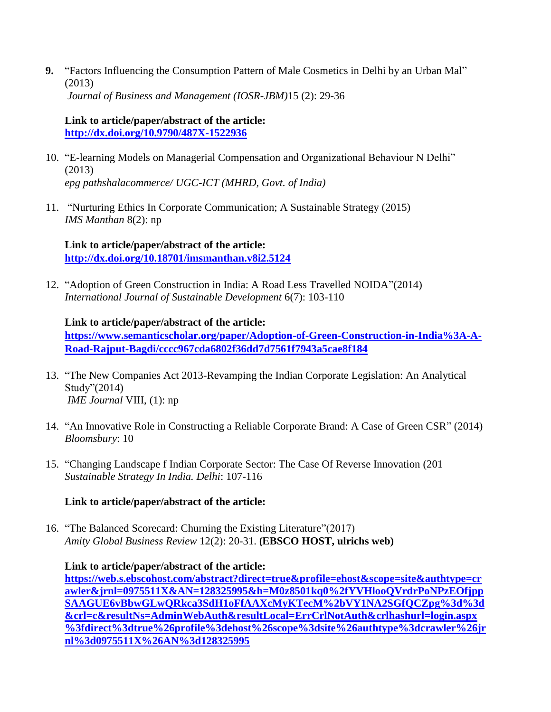**9.** "Factors Influencing the Consumption Pattern of Male Cosmetics in Delhi by an Urban Mal" (2013) *Journal of Business and Management (IOSR-JBM)*15 (2): 29-36

#### **Link to article/paper/abstract of the article: <http://dx.doi.org/10.9790/487X-1522936>**

- 10. "E-learning Models on Managerial Compensation and Organizational Behaviour N Delhi" (2013) *epg pathshalacommerce/ UGC-ICT (MHRD, Govt. of India)*
- 11. "Nurturing Ethics In Corporate Communication; A Sustainable Strategy (2015) *IMS Manthan* 8(2): np

**Link to article/paper/abstract of the article: <http://dx.doi.org/10.18701/imsmanthan.v8i2.5124>**

12. "Adoption of Green Construction in India: A Road Less Travelled NOIDA"(2014) *International Journal of Sustainable Development* 6(7): 103-110

#### **Link to article/paper/abstract of the article:**

**[https://www.semanticscholar.org/paper/Adoption-of-Green-Construction-in-India%3A-A-](https://www.semanticscholar.org/paper/Adoption-of-Green-Construction-in-India%3A-A-Road-Rajput-Bagdi/cccc967cda6802f36dd7d7561f7943a5cae8f184)[Road-Rajput-Bagdi/cccc967cda6802f36dd7d7561f7943a5cae8f184](https://www.semanticscholar.org/paper/Adoption-of-Green-Construction-in-India%3A-A-Road-Rajput-Bagdi/cccc967cda6802f36dd7d7561f7943a5cae8f184)**

- 13. "The New Companies Act 2013-Revamping the Indian Corporate Legislation: An Analytical Study"(2014) *IME Journal* VIII, (1): np
- 14. "An Innovative Role in Constructing a Reliable Corporate Brand: A Case of Green CSR" (2014) *Bloomsbury*: 10
- 15. "Changing Landscape f Indian Corporate Sector: The Case Of Reverse Innovation (201 *Sustainable Strategy In India. Delhi*: 107-116

### **Link to article/paper/abstract of the article:**

16. "The Balanced Scorecard: Churning the Existing Literature"(2017) *Amity Global Business Review* 12(2): 20-31. **(EBSCO HOST, ulrichs web)**

**Link to article/paper/abstract of the article: [https://web.s.ebscohost.com/abstract?direct=true&profile=ehost&scope=site&authtype=cr](https://web.s.ebscohost.com/abstract?direct=true&profile=ehost&scope=site&authtype=crawler&jrnl=0975511X&AN=128325995&h=M0z8501kq0%2fYVHlooQVrdrPoNPzEOfjppSAAGUE6vBbwGLwQRkca3SdH1oFfAAXcMyKTecM%2bVY1NA2SGfQCZpg%3d%3d&crl=c&resultNs=AdminWebAuth&resultLocal=ErrCrlNotAuth&crlhashurl=login.aspx%3fdirect%3dtrue%26profile%3dehost%26scope%3dsite%26authtype%3dcrawler%26jrnl%3d0975511X%26AN%3d128325995) [awler&jrnl=0975511X&AN=128325995&h=M0z8501kq0%2fYVHlooQVrdrPoNPzEOfjpp](https://web.s.ebscohost.com/abstract?direct=true&profile=ehost&scope=site&authtype=crawler&jrnl=0975511X&AN=128325995&h=M0z8501kq0%2fYVHlooQVrdrPoNPzEOfjppSAAGUE6vBbwGLwQRkca3SdH1oFfAAXcMyKTecM%2bVY1NA2SGfQCZpg%3d%3d&crl=c&resultNs=AdminWebAuth&resultLocal=ErrCrlNotAuth&crlhashurl=login.aspx%3fdirect%3dtrue%26profile%3dehost%26scope%3dsite%26authtype%3dcrawler%26jrnl%3d0975511X%26AN%3d128325995) [SAAGUE6vBbwGLwQRkca3SdH1oFfAAXcMyKTecM%2bVY1NA2SGfQCZpg%3d%3d](https://web.s.ebscohost.com/abstract?direct=true&profile=ehost&scope=site&authtype=crawler&jrnl=0975511X&AN=128325995&h=M0z8501kq0%2fYVHlooQVrdrPoNPzEOfjppSAAGUE6vBbwGLwQRkca3SdH1oFfAAXcMyKTecM%2bVY1NA2SGfQCZpg%3d%3d&crl=c&resultNs=AdminWebAuth&resultLocal=ErrCrlNotAuth&crlhashurl=login.aspx%3fdirect%3dtrue%26profile%3dehost%26scope%3dsite%26authtype%3dcrawler%26jrnl%3d0975511X%26AN%3d128325995) [&crl=c&resultNs=AdminWebAuth&resultLocal=ErrCrlNotAuth&crlhashurl=login.aspx](https://web.s.ebscohost.com/abstract?direct=true&profile=ehost&scope=site&authtype=crawler&jrnl=0975511X&AN=128325995&h=M0z8501kq0%2fYVHlooQVrdrPoNPzEOfjppSAAGUE6vBbwGLwQRkca3SdH1oFfAAXcMyKTecM%2bVY1NA2SGfQCZpg%3d%3d&crl=c&resultNs=AdminWebAuth&resultLocal=ErrCrlNotAuth&crlhashurl=login.aspx%3fdirect%3dtrue%26profile%3dehost%26scope%3dsite%26authtype%3dcrawler%26jrnl%3d0975511X%26AN%3d128325995) [%3fdirect%3dtrue%26profile%3dehost%26scope%3dsite%26authtype%3dcrawler%26jr](https://web.s.ebscohost.com/abstract?direct=true&profile=ehost&scope=site&authtype=crawler&jrnl=0975511X&AN=128325995&h=M0z8501kq0%2fYVHlooQVrdrPoNPzEOfjppSAAGUE6vBbwGLwQRkca3SdH1oFfAAXcMyKTecM%2bVY1NA2SGfQCZpg%3d%3d&crl=c&resultNs=AdminWebAuth&resultLocal=ErrCrlNotAuth&crlhashurl=login.aspx%3fdirect%3dtrue%26profile%3dehost%26scope%3dsite%26authtype%3dcrawler%26jrnl%3d0975511X%26AN%3d128325995) [nl%3d0975511X%26AN%3d128325995](https://web.s.ebscohost.com/abstract?direct=true&profile=ehost&scope=site&authtype=crawler&jrnl=0975511X&AN=128325995&h=M0z8501kq0%2fYVHlooQVrdrPoNPzEOfjppSAAGUE6vBbwGLwQRkca3SdH1oFfAAXcMyKTecM%2bVY1NA2SGfQCZpg%3d%3d&crl=c&resultNs=AdminWebAuth&resultLocal=ErrCrlNotAuth&crlhashurl=login.aspx%3fdirect%3dtrue%26profile%3dehost%26scope%3dsite%26authtype%3dcrawler%26jrnl%3d0975511X%26AN%3d128325995)**